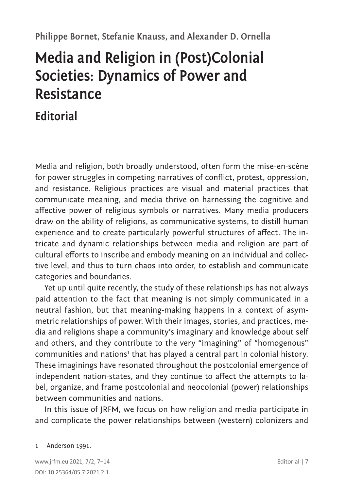## **Philippe Bornet, Stefanie Knauss, and Alexander D. Ornella**

# **Media and Religion in (Post)Colonial Societies: Dynamics of Power and Resistance**

# **Editorial**

Media and religion, both broadly understood, often form the mise-en-scène for power struggles in competing narratives of conflict, protest, oppression, and resistance. Religious practices are visual and material practices that communicate meaning, and media thrive on harnessing the cognitive and affective power of religious symbols or narratives. Many media producers draw on the ability of religions, as communicative systems, to distill human experience and to create particularly powerful structures of affect. The intricate and dynamic relationships between media and religion are part of cultural efforts to inscribe and embody meaning on an individual and collective level, and thus to turn chaos into order, to establish and communicate categories and boundaries.

Yet up until quite recently, the study of these relationships has not always paid attention to the fact that meaning is not simply communicated in a neutral fashion, but that meaning-making happens in a context of asymmetric relationships of power. With their images, stories, and practices, media and religions shape a community's imaginary and knowledge about self and others, and they contribute to the very "imagining" of "homogenous" communities and nations<sup>1</sup> that has played a central part in colonial history. These imaginings have resonated throughout the postcolonial emergence of independent nation-states, and they continue to affect the attempts to label, organize, and frame postcolonial and neocolonial (power) relationships between communities and nations.

In this issue of JRFM, we focus on how religion and media participate in and complicate the power relationships between (western) colonizers and

#### 1 Anderson 1991.

www.jrfm.eu 2021, 7/2, 7–14 Editorial | 7 DOI: 10.25364/05.7:2021.2.1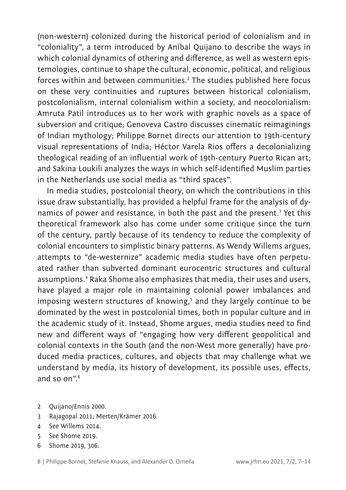(non-western) colonized during the historical period of colonialism and in "coloniality", a term introduced by Aníbal Quijano to describe the ways in which colonial dynamics of othering and difference, as well as western epistemologies, continue to shape the cultural, economic, political, and religious forces within and between communities. $^2$  The studies published here focus on these very continuities and ruptures between historical colonialism, postcolonialism, internal colonialism within a society, and neocolonialism: Amruta Patil introduces us to her work with graphic novels as a space of subversion and critique; Genoveva Castro discusses cinematic reimaginings of Indian mythology; Philippe Bornet directs our attention to 19th-century visual representations of India; Héctor Varela Rios offers a decolonializing theological reading of an influential work of 19th-century Puerto Rican art; and Sakina Loukili analyzes the ways in which self-identified Muslim parties in the Netherlands use social media as "third spaces".

In media studies, postcolonial theory, on which the contributions in this issue draw substantially, has provided a helpful frame for the analysis of dynamics of power and resistance, in both the past and the present.<sup>3</sup> Yet this theoretical framework also has come under some critique since the turn of the century, partly because of its tendency to reduce the complexity of colonial encounters to simplistic binary patterns. As Wendy Willems argues, attempts to "de-westernize" academic media studies have often perpetuated rather than subverted dominant eurocentric structures and cultural assumptions.<sup>4</sup> Raka Shome also emphasizes that media, their uses and users, have played a major role in maintaining colonial power imbalances and imposing western structures of knowing,<sup>5</sup> and they largely continue to be dominated by the west in postcolonial times, both in popular culture and in the academic study of it. Instead, Shome argues, media studies need to find new and different ways of "engaging how very different geopolitical and colonial contexts in the South (and the non-West more generally) have produced media practices, cultures, and objects that may challenge what we understand by media, its history of development, its possible uses, effects, and so on".<sup>6</sup>

- 2 Quijano/Ennis 2000.
- 3 Rajagopal 2011; Merten/Krämer 2016.
- 4 See Willems 2014.
- 5 See Shome 2019.
- 6 Shome 2019, 306.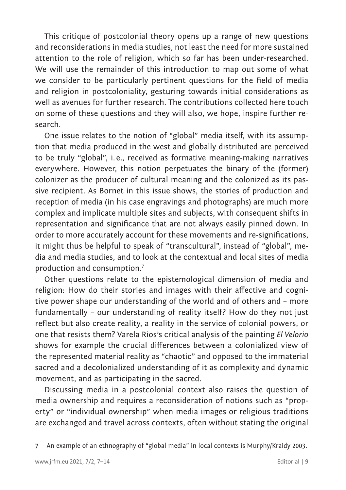This critique of postcolonial theory opens up a range of new questions and reconsiderations in media studies, not least the need for more sustained attention to the role of religion, which so far has been under-researched. We will use the remainder of this introduction to map out some of what we consider to be particularly pertinent questions for the field of media and religion in postcoloniality, gesturing towards initial considerations as well as avenues for further research. The contributions collected here touch on some of these questions and they will also, we hope, inspire further research.

One issue relates to the notion of "global" media itself, with its assumption that media produced in the west and globally distributed are perceived to be truly "global", i.e., received as formative meaning-making narratives everywhere. However, this notion perpetuates the binary of the (former) colonizer as the producer of cultural meaning and the colonized as its passive recipient. As Bornet in this issue shows, the stories of production and reception of media (in his case engravings and photographs) are much more complex and implicate multiple sites and subjects, with consequent shifts in representation and significance that are not always easily pinned down. In order to more accurately account for these movements and re-significations, it might thus be helpful to speak of "transcultural", instead of "global", media and media studies, and to look at the contextual and local sites of media production and consumption.<sup>7</sup>

Other questions relate to the epistemological dimension of media and religion: How do their stories and images with their affective and cognitive power shape our understanding of the world and of others and – more fundamentally – our understanding of reality itself? How do they not just reflect but also create reality, a reality in the service of colonial powers, or one that resists them? Varela Rios's critical analysis of the painting *El Velorio* shows for example the crucial differences between a colonialized view of the represented material reality as "chaotic" and opposed to the immaterial sacred and a decolonialized understanding of it as complexity and dynamic movement, and as participating in the sacred.

Discussing media in a postcolonial context also raises the question of media ownership and requires a reconsideration of notions such as "property" or "individual ownership" when media images or religious traditions are exchanged and travel across contexts, often without stating the original

7 An example of an ethnography of "global media" in local contexts is Murphy/Kraidy 2003.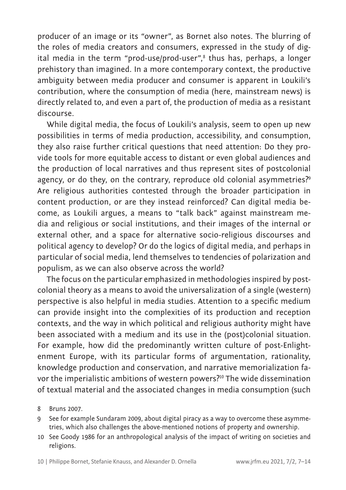producer of an image or its "owner", as Bornet also notes. The blurring of the roles of media creators and consumers, expressed in the study of digital media in the term "prod-use/prod-user",8 thus has, perhaps, a longer prehistory than imagined. In a more contemporary context, the productive ambiguity between media producer and consumer is apparent in Loukili's contribution, where the consumption of media (here, mainstream news) is directly related to, and even a part of, the production of media as a resistant discourse.

While digital media, the focus of Loukili's analysis, seem to open up new possibilities in terms of media production, accessibility, and consumption, they also raise further critical questions that need attention: Do they provide tools for more equitable access to distant or even global audiences and the production of local narratives and thus represent sites of postcolonial agency, or do they, on the contrary, reproduce old colonial asymmetries?<sup>9</sup> Are religious authorities contested through the broader participation in content production, or are they instead reinforced? Can digital media become, as Loukili argues, a means to "talk back" against mainstream media and religious or social institutions, and their images of the internal or external other, and a space for alternative socio-religious discourses and political agency to develop? Or do the logics of digital media, and perhaps in particular of social media, lend themselves to tendencies of polarization and populism, as we can also observe across the world?

The focus on the particular emphasized in methodologies inspired by postcolonial theory as a means to avoid the universalization of a single (western) perspective is also helpful in media studies. Attention to a specific medium can provide insight into the complexities of its production and reception contexts, and the way in which political and religious authority might have been associated with a medium and its use in the (post)colonial situation. For example, how did the predominantly written culture of post-Enlightenment Europe, with its particular forms of argumentation, rationality, knowledge production and conservation, and narrative memorialization favor the imperialistic ambitions of western powers?<sup>10</sup> The wide dissemination of textual material and the associated changes in media consumption (such

- 9 See for example Sundaram 2009, about digital piracy as a way to overcome these asymmetries, which also challenges the above-mentioned notions of property and ownership.
- 10 See Goody 1986 for an anthropological analysis of the impact of writing on societies and religions.

<sup>8</sup> Bruns 2007.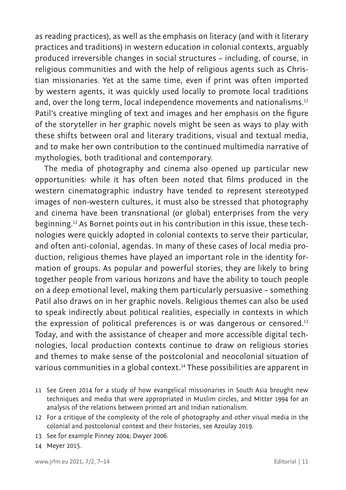as reading practices), as well as the emphasis on literacy (and with it literary practices and traditions) in western education in colonial contexts, arguably produced irreversible changes in social structures – including, of course, in religious communities and with the help of religious agents such as Christian missionaries. Yet at the same time, even if print was often imported by western agents, it was quickly used locally to promote local traditions and, over the long term, local independence movements and nationalisms.<sup>11</sup> Patil's creative mingling of text and images and her emphasis on the figure of the storyteller in her graphic novels might be seen as ways to play with these shifts between oral and literary traditions, visual and textual media, and to make her own contribution to the continued multimedia narrative of mythologies, both traditional and contemporary.

The media of photography and cinema also opened up particular new opportunities: while it has often been noted that films produced in the western cinematographic industry have tended to represent stereotyped images of non-western cultures, it must also be stressed that photography and cinema have been transnational (or global) enterprises from the very beginning.12 As Bornet points out in his contribution in this issue, these technologies were quickly adopted in colonial contexts to serve their particular, and often anti-colonial, agendas. In many of these cases of local media production, religious themes have played an important role in the identity formation of groups. As popular and powerful stories, they are likely to bring together people from various horizons and have the ability to touch people on a deep emotional level, making them particularly persuasive – something Patil also draws on in her graphic novels. Religious themes can also be used to speak indirectly about political realities, especially in contexts in which the expression of political preferences is or was dangerous or censored.<sup>13</sup> Today, and with the assistance of cheaper and more accessible digital technologies, local production contexts continue to draw on religious stories and themes to make sense of the postcolonial and neocolonial situation of various communities in a global context.<sup>14</sup> These possibilities are apparent in

- 11 See Green 2014 for a study of how evangelical missionaries in South Asia brought new techniques and media that were appropriated in Muslim circles, and Mitter 1994 for an analysis of the relations between printed art and Indian nationalism.
- 12 For a critique of the complexity of the role of photography and other visual media in the colonial and postcolonial context and their histories, see Azoulay 2019.
- 13 See for example Pinney 2004; Dwyer 2006.

14 Meyer 2015.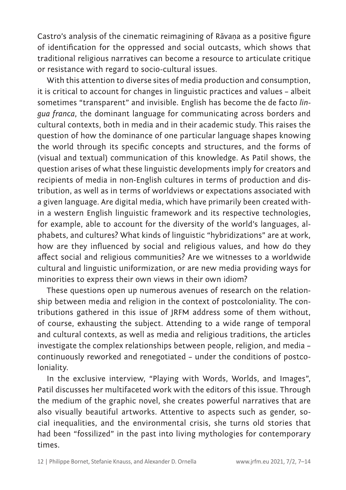Castro's analysis of the cinematic reimagining of Rāvaṇa as a positive figure of identification for the oppressed and social outcasts, which shows that traditional religious narratives can become a resource to articulate critique or resistance with regard to socio-cultural issues.

With this attention to diverse sites of media production and consumption, it is critical to account for changes in linguistic practices and values – albeit sometimes "transparent" and invisible. English has become the de facto *lingua franca*, the dominant language for communicating across borders and cultural contexts, both in media and in their academic study. This raises the question of how the dominance of one particular language shapes knowing the world through its specific concepts and structures, and the forms of (visual and textual) communication of this knowledge. As Patil shows, the question arises of what these linguistic developments imply for creators and recipients of media in non-English cultures in terms of production and distribution, as well as in terms of worldviews or expectations associated with a given language. Are digital media, which have primarily been created within a western English linguistic framework and its respective technologies, for example, able to account for the diversity of the world's languages, alphabets, and cultures? What kinds of linguistic "hybridizations" are at work, how are they influenced by social and religious values, and how do they affect social and religious communities? Are we witnesses to a worldwide cultural and linguistic uniformization, or are new media providing ways for minorities to express their own views in their own idiom?

These questions open up numerous avenues of research on the relationship between media and religion in the context of postcoloniality. The contributions gathered in this issue of JRFM address some of them without, of course, exhausting the subject. Attending to a wide range of temporal and cultural contexts, as well as media and religious traditions, the articles investigate the complex relationships between people, religion, and media – continuously reworked and renegotiated – under the conditions of postcoloniality.

In the exclusive interview, "Playing with Words, Worlds, and Images", Patil discusses her multifaceted work with the editors of this issue. Through the medium of the graphic novel, she creates powerful narratives that are also visually beautiful artworks. Attentive to aspects such as gender, social inequalities, and the environmental crisis, she turns old stories that had been "fossilized" in the past into living mythologies for contemporary times.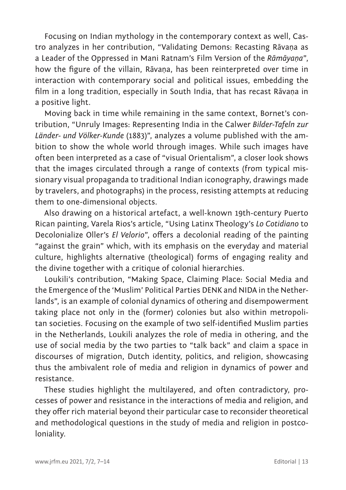Focusing on Indian mythology in the contemporary context as well, Castro analyzes in her contribution, "Validating Demons: Recasting Rāvaṇa as a Leader of the Oppressed in Mani Ratnam's Film Version of the *Rāmāyaṇa*", how the figure of the villain, Rāvaṇa, has been reinterpreted over time in interaction with contemporary social and political issues, embedding the film in a long tradition, especially in South India, that has recast Rāvaṇa in a positive light.

Moving back in time while remaining in the same context, Bornet's contribution, "Unruly Images: Representing India in the Calwer *Bilder-Tafeln zur Länder- und Völker-Kunde* (1883)", analyzes a volume published with the ambition to show the whole world through images. While such images have often been interpreted as a case of "visual Orientalism", a closer look shows that the images circulated through a range of contexts (from typical missionary visual propaganda to traditional Indian iconography, drawings made by travelers, and photographs) in the process, resisting attempts at reducing them to one-dimensional objects.

Also drawing on a historical artefact, a well-known 19th-century Puerto Rican painting, Varela Rios's article, "Using Latinx Theology's *Lo Cotidiano* to Decolonialize Oller's *El Velorio*", offers a decolonial reading of the painting "against the grain" which, with its emphasis on the everyday and material culture, highlights alternative (theological) forms of engaging reality and the divine together with a critique of colonial hierarchies.

Loukili's contribution, "Making Space, Claiming Place: Social Media and the Emergence of the 'Muslim' Political Parties DENK and NIDA in the Netherlands", is an example of colonial dynamics of othering and disempowerment taking place not only in the (former) colonies but also within metropolitan societies. Focusing on the example of two self-identified Muslim parties in the Netherlands, Loukili analyzes the role of media in othering, and the use of social media by the two parties to "talk back" and claim a space in discourses of migration, Dutch identity, politics, and religion, showcasing thus the ambivalent role of media and religion in dynamics of power and resistance.

These studies highlight the multilayered, and often contradictory, processes of power and resistance in the interactions of media and religion, and they offer rich material beyond their particular case to reconsider theoretical and methodological questions in the study of media and religion in postcoloniality.